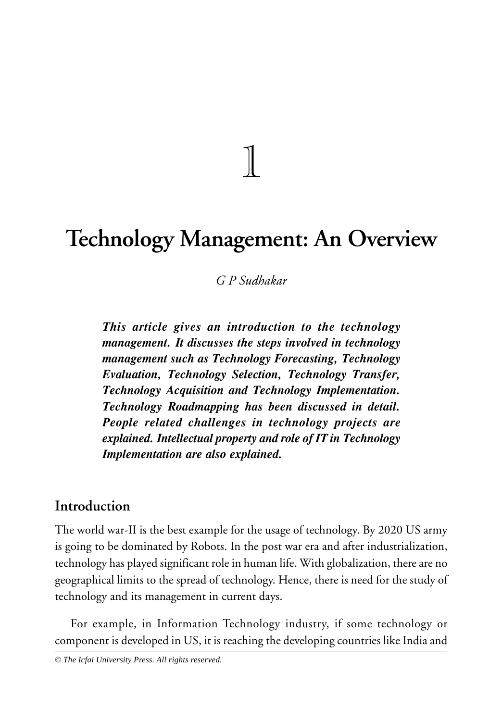# **Technology Management: An Overview**

 $\biggl[ \begin{matrix} 1 \\ 1 \end{matrix} \biggr]$ 

## *G P Sudhakar*

*This article gives an introduction to the technology management. It discusses the steps involved in technology management such as Technology Forecasting, Technology Evaluation, Technology Selection, Technology Transfer, Technology Acquisition and Technology Implementation. Technology Roadmapping has been discussed in detail. People related challenges in technology projects are explained. Intellectual property and role of IT in Technology Implementation are also explained.*

## **Introduction**

The world war-II is the best example for the usage of technology. By 2020 US army is going to be dominated by Robots. In the post war era and after industrialization, technology has played significant role in human life. With globalization, there are no geographical limits to the spread of technology. Hence, there is need for the study of technology and its management in current days.

For example, in Information Technology industry, if some technology or component is developed in US, it is reaching the developing countries like India and

*© The Icfai University Press. All rights reserved.*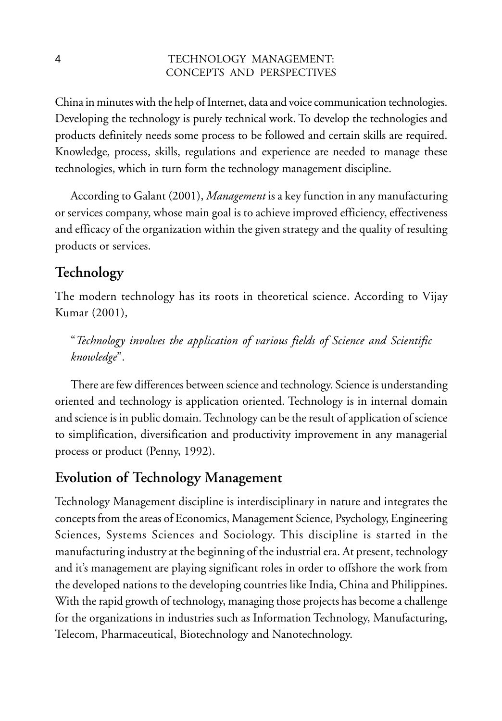China in minutes with the help of Internet, data and voice communication technologies. Developing the technology is purely technical work. To develop the technologies and products definitely needs some process to be followed and certain skills are required. Knowledge, process, skills, regulations and experience are needed to manage these technologies, which in turn form the technology management discipline.

According to Galant (2001), *Management* is a key function in any manufacturing or services company, whose main goal is to achieve improved efficiency, effectiveness and efficacy of the organization within the given strategy and the quality of resulting products or services.

# **Technology**

The modern technology has its roots in theoretical science. According to Vijay Kumar (2001),

"*Technology involves the application of various fields of Science and Scientific knowledge*".

There are few differences between science and technology. Science is understanding oriented and technology is application oriented. Technology is in internal domain and science is in public domain. Technology can be the result of application of science to simplification, diversification and productivity improvement in any managerial process or product (Penny, 1992).

# **Evolution of Technology Management**

Technology Management discipline is interdisciplinary in nature and integrates the concepts from the areas of Economics, Management Science, Psychology, Engineering Sciences, Systems Sciences and Sociology. This discipline is started in the manufacturing industry at the beginning of the industrial era. At present, technology and it's management are playing significant roles in order to offshore the work from the developed nations to the developing countries like India, China and Philippines. With the rapid growth of technology, managing those projects has become a challenge for the organizations in industries such as Information Technology, Manufacturing, Telecom, Pharmaceutical, Biotechnology and Nanotechnology.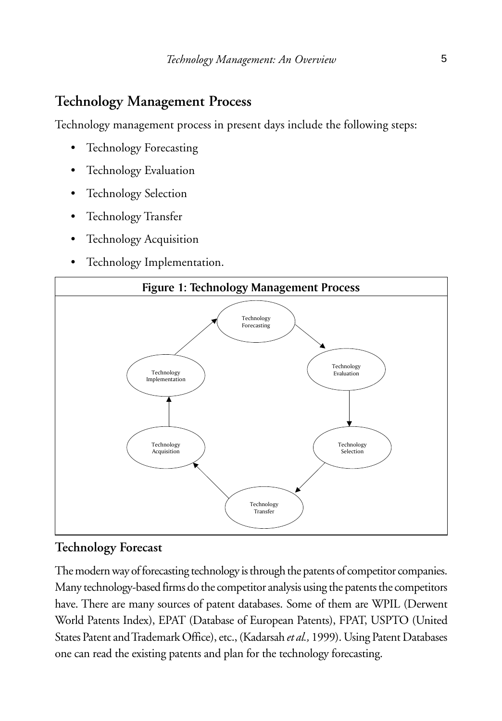# **Technology Management Process**

Technology management process in present days include the following steps:

- Technology Forecasting
- Technology Evaluation
- Technology Selection
- Technology Transfer
- **Technology Acquisition**
- Technology Implementation.



## **Technology Forecast**

The modern way of forecasting technology is through the patents of competitor companies. Many technology-based firms do the competitor analysis using the patents the competitors have. There are many sources of patent databases. Some of them are WPIL (Derwent World Patents Index), EPAT (Database of European Patents), FPAT, USPTO (United States Patent and Trademark Office), etc., (Kadarsah *et al.,* 1999). Using Patent Databases one can read the existing patents and plan for the technology forecasting.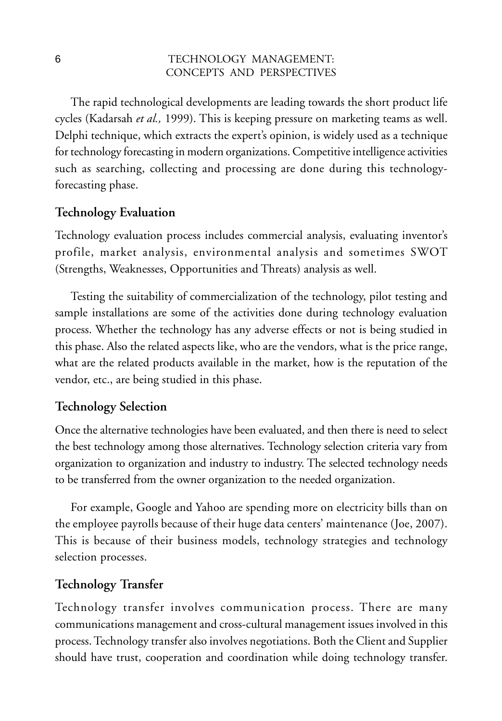The rapid technological developments are leading towards the short product life cycles (Kadarsah *et al.,* 1999). This is keeping pressure on marketing teams as well. Delphi technique, which extracts the expert's opinion, is widely used as a technique for technology forecasting in modern organizations. Competitive intelligence activities such as searching, collecting and processing are done during this technologyforecasting phase.

#### **Technology Evaluation**

Technology evaluation process includes commercial analysis, evaluating inventor's profile, market analysis, environmental analysis and sometimes SWOT (Strengths, Weaknesses, Opportunities and Threats) analysis as well.

Testing the suitability of commercialization of the technology, pilot testing and sample installations are some of the activities done during technology evaluation process. Whether the technology has any adverse effects or not is being studied in this phase. Also the related aspects like, who are the vendors, what is the price range, what are the related products available in the market, how is the reputation of the vendor, etc., are being studied in this phase.

#### **Technology Selection**

Once the alternative technologies have been evaluated, and then there is need to select the best technology among those alternatives. Technology selection criteria vary from organization to organization and industry to industry. The selected technology needs to be transferred from the owner organization to the needed organization.

For example, Google and Yahoo are spending more on electricity bills than on the employee payrolls because of their huge data centers' maintenance (Joe, 2007). This is because of their business models, technology strategies and technology selection processes.

## **Technology Transfer**

Technology transfer involves communication process. There are many communications management and cross-cultural management issues involved in this process. Technology transfer also involves negotiations. Both the Client and Supplier should have trust, cooperation and coordination while doing technology transfer.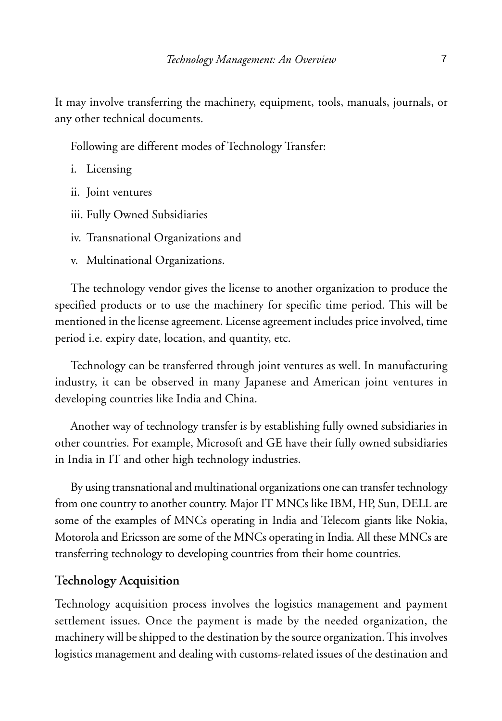It may involve transferring the machinery, equipment, tools, manuals, journals, or any other technical documents.

Following are different modes of Technology Transfer:

- i. Licensing
- ii. Joint ventures
- iii. Fully Owned Subsidiaries
- iv. Transnational Organizations and
- v. Multinational Organizations.

The technology vendor gives the license to another organization to produce the specified products or to use the machinery for specific time period. This will be mentioned in the license agreement. License agreement includes price involved, time period i.e. expiry date, location, and quantity, etc.

Technology can be transferred through joint ventures as well. In manufacturing industry, it can be observed in many Japanese and American joint ventures in developing countries like India and China.

Another way of technology transfer is by establishing fully owned subsidiaries in other countries. For example, Microsoft and GE have their fully owned subsidiaries in India in IT and other high technology industries.

By using transnational and multinational organizations one can transfer technology from one country to another country. Major IT MNCs like IBM, HP, Sun, DELL are some of the examples of MNCs operating in India and Telecom giants like Nokia, Motorola and Ericsson are some of the MNCs operating in India. All these MNCs are transferring technology to developing countries from their home countries.

#### **Technology Acquisition**

Technology acquisition process involves the logistics management and payment settlement issues. Once the payment is made by the needed organization, the machinery will be shipped to the destination by the source organization. This involves logistics management and dealing with customs-related issues of the destination and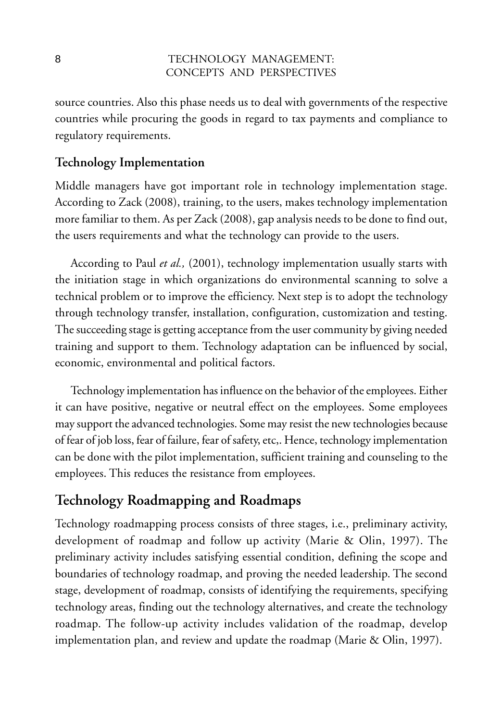source countries. Also this phase needs us to deal with governments of the respective countries while procuring the goods in regard to tax payments and compliance to regulatory requirements.

### **Technology Implementation**

Middle managers have got important role in technology implementation stage. According to Zack (2008), training, to the users, makes technology implementation more familiar to them. As per Zack (2008), gap analysis needs to be done to find out, the users requirements and what the technology can provide to the users.

According to Paul *et al.,* (2001), technology implementation usually starts with the initiation stage in which organizations do environmental scanning to solve a technical problem or to improve the efficiency. Next step is to adopt the technology through technology transfer, installation, configuration, customization and testing. The succeeding stage is getting acceptance from the user community by giving needed training and support to them. Technology adaptation can be influenced by social, economic, environmental and political factors.

Technology implementation has influence on the behavior of the employees. Either it can have positive, negative or neutral effect on the employees. Some employees may support the advanced technologies. Some may resist the new technologies because of fear of job loss, fear of failure, fear of safety, etc,. Hence, technology implementation can be done with the pilot implementation, sufficient training and counseling to the employees. This reduces the resistance from employees.

# **Technology Roadmapping and Roadmaps**

Technology roadmapping process consists of three stages, i.e., preliminary activity, development of roadmap and follow up activity (Marie & Olin, 1997). The preliminary activity includes satisfying essential condition, defining the scope and boundaries of technology roadmap, and proving the needed leadership. The second stage, development of roadmap, consists of identifying the requirements, specifying technology areas, finding out the technology alternatives, and create the technology roadmap. The follow-up activity includes validation of the roadmap, develop implementation plan, and review and update the roadmap (Marie & Olin, 1997).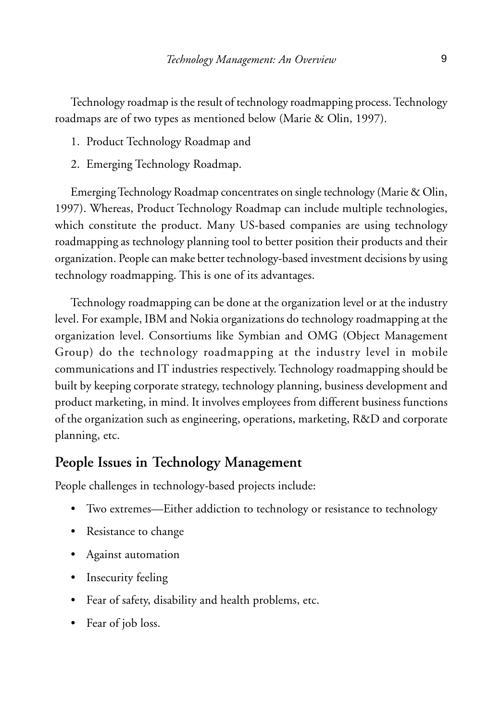Technology roadmap is the result of technology roadmapping process. Technology roadmaps are of two types as mentioned below (Marie & Olin, 1997).

- 1. Product Technology Roadmap and
- 2. Emerging Technology Roadmap.

Emerging Technology Roadmap concentrates on single technology (Marie & Olin, 1997). Whereas, Product Technology Roadmap can include multiple technologies, which constitute the product. Many US-based companies are using technology roadmapping as technology planning tool to better position their products and their organization. People can make better technology-based investment decisions by using technology roadmapping. This is one of its advantages.

Technology roadmapping can be done at the organization level or at the industry level. For example, IBM and Nokia organizations do technology roadmapping at the organization level. Consortiums like Symbian and OMG (Object Management Group) do the technology roadmapping at the industry level in mobile communications and IT industries respectively. Technology roadmapping should be built by keeping corporate strategy, technology planning, business development and product marketing, in mind. It involves employees from different business functions of the organization such as engineering, operations, marketing, R&D and corporate planning, etc.

#### **People Issues in Technology Management**

People challenges in technology-based projects include:

- Two extremes—Either addiction to technology or resistance to technology
- Resistance to change
- Against automation
- Insecurity feeling
- Fear of safety, disability and health problems, etc.
- Fear of job loss.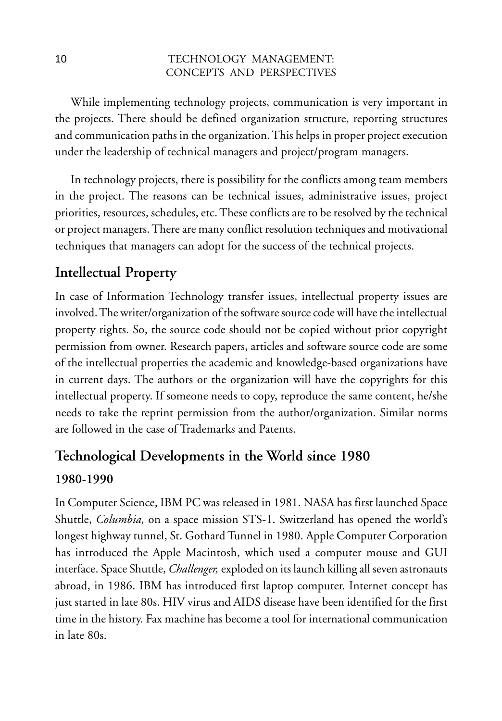While implementing technology projects, communication is very important in the projects. There should be defined organization structure, reporting structures and communication paths in the organization. This helps in proper project execution under the leadership of technical managers and project/program managers.

In technology projects, there is possibility for the conflicts among team members in the project. The reasons can be technical issues, administrative issues, project priorities, resources, schedules, etc. These conflicts are to be resolved by the technical or project managers. There are many conflict resolution techniques and motivational techniques that managers can adopt for the success of the technical projects.

# **Intellectual Property**

In case of Information Technology transfer issues, intellectual property issues are involved. The writer/organization of the software source code will have the intellectual property rights. So, the source code should not be copied without prior copyright permission from owner. Research papers, articles and software source code are some of the intellectual properties the academic and knowledge-based organizations have in current days. The authors or the organization will have the copyrights for this intellectual property. If someone needs to copy, reproduce the same content, he/she needs to take the reprint permission from the author/organization. Similar norms are followed in the case of Trademarks and Patents.

# **Technological Developments in the World since 1980 1980-1990**

In Computer Science, IBM PC was released in 1981. NASA has first launched Space Shuttle, *Columbia,* on a space mission STS-1. Switzerland has opened the world's longest highway tunnel, St. Gothard Tunnel in 1980. Apple Computer Corporation has introduced the Apple Macintosh, which used a computer mouse and GUI interface. Space Shuttle, *Challenger,* exploded on its launch killing all seven astronauts abroad, in 1986. IBM has introduced first laptop computer. Internet concept has just started in late 80s. HIV virus and AIDS disease have been identified for the first time in the history. Fax machine has become a tool for international communication in late 80s.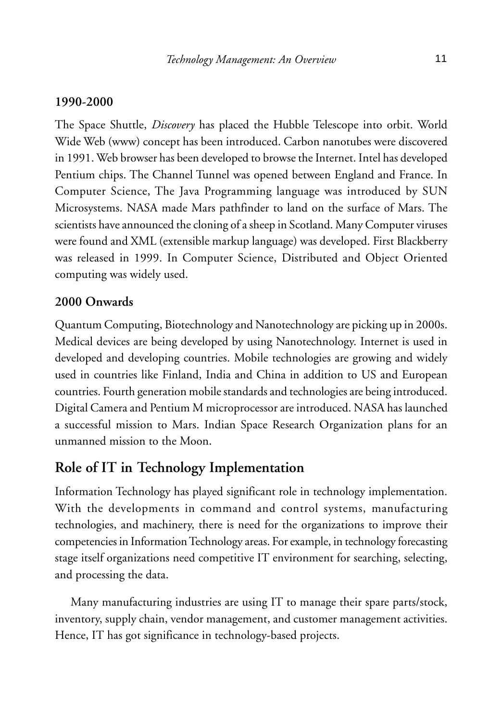#### **1990-2000**

The Space Shuttle, *Discovery* has placed the Hubble Telescope into orbit. World Wide Web (www) concept has been introduced. Carbon nanotubes were discovered in 1991. Web browser has been developed to browse the Internet. Intel has developed Pentium chips. The Channel Tunnel was opened between England and France. In Computer Science, The Java Programming language was introduced by SUN Microsystems. NASA made Mars pathfinder to land on the surface of Mars. The scientists have announced the cloning of a sheep in Scotland. Many Computer viruses were found and XML (extensible markup language) was developed. First Blackberry was released in 1999. In Computer Science, Distributed and Object Oriented computing was widely used.

#### **2000 Onwards**

Quantum Computing, Biotechnology and Nanotechnology are picking up in 2000s. Medical devices are being developed by using Nanotechnology. Internet is used in developed and developing countries. Mobile technologies are growing and widely used in countries like Finland, India and China in addition to US and European countries. Fourth generation mobile standards and technologies are being introduced. Digital Camera and Pentium M microprocessor are introduced. NASA has launched a successful mission to Mars. Indian Space Research Organization plans for an unmanned mission to the Moon.

## **Role of IT in Technology Implementation**

Information Technology has played significant role in technology implementation. With the developments in command and control systems, manufacturing technologies, and machinery, there is need for the organizations to improve their competencies in Information Technology areas. For example, in technology forecasting stage itself organizations need competitive IT environment for searching, selecting, and processing the data.

Many manufacturing industries are using IT to manage their spare parts/stock, inventory, supply chain, vendor management, and customer management activities. Hence, IT has got significance in technology-based projects.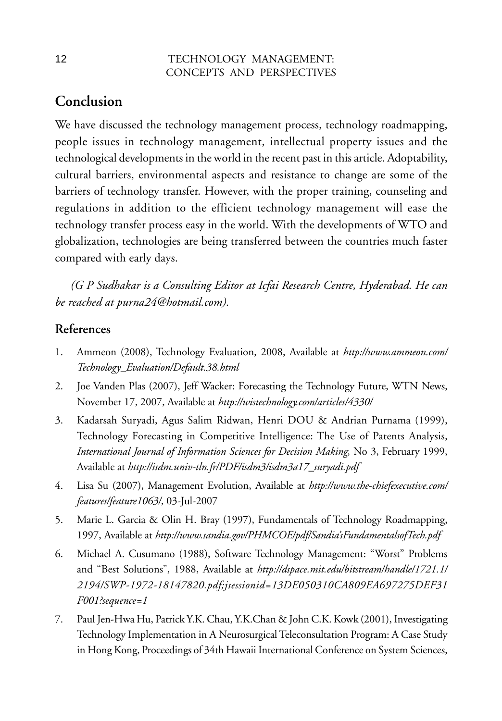# **Conclusion**

We have discussed the technology management process, technology roadmapping, people issues in technology management, intellectual property issues and the technological developments in the world in the recent past in this article. Adoptability, cultural barriers, environmental aspects and resistance to change are some of the barriers of technology transfer. However, with the proper training, counseling and regulations in addition to the efficient technology management will ease the technology transfer process easy in the world. With the developments of WTO and globalization, technologies are being transferred between the countries much faster compared with early days.

*(G P Sudhakar is a Consulting Editor at Icfai Research Centre, Hyderabad. He can be reached at purna24@hotmail.com).*

### **References**

- 1. Ammeon (2008), Technology Evaluation, 2008, Available at *http://www.ammeon.com/ Technology\_Evaluation/Default.38.html*
- 2. Joe Vanden Plas (2007), Jeff Wacker: Forecasting the Technology Future, WTN News, November 17, 2007, Available at *http://wistechnology.com/articles/4330/*
- 3. Kadarsah Suryadi, Agus Salim Ridwan, Henri DOU & Andrian Purnama (1999), Technology Forecasting in Competitive Intelligence: The Use of Patents Analysis, *International Journal of Information Sciences for Decision Making,* No 3, February 1999, Available at *http://isdm.univ-tln.fr/PDF/isdm3/isdm3a17\_suryadi.pdf*
- 4. Lisa Su (2007), Management Evolution, Available at *http://www.the-chiefexecutive.com/ features/feature1063/*, 03-Jul-2007
- 5. Marie L. Garcia & Olin H. Bray (1997), Fundamentals of Technology Roadmapping, 1997, Available at *http://www.sandia.gov/PHMCOE/pdf/Sandia'sFundamentalsofTech.pdf*
- 6. Michael A. Cusumano (1988), Software Technology Management: "Worst" Problems and "Best Solutions", 1988, Available at *http://dspace.mit.edu/bitstream/handle/1721.1/ 2194/SWP-1972-18147820.pdf;jsessionid=13DE050310CA809EA697275DEF31 F001?sequence=1*
- 7. Paul Jen-Hwa Hu, Patrick Y.K. Chau, Y.K.Chan & John C.K. Kowk (2001), Investigating Technology Implementation in A Neurosurgical Teleconsultation Program: A Case Study in Hong Kong, Proceedings of 34th Hawaii International Conference on System Sciences,